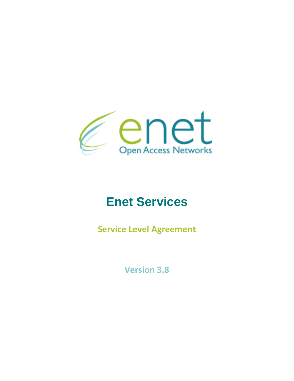

# **Enet Services**

**Service Level Agreement**

**Version 3.8**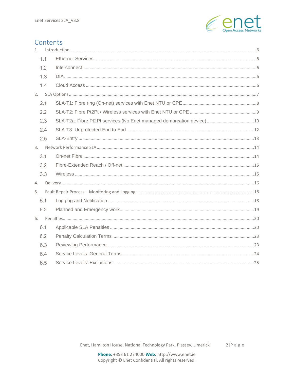

# Contents

| 1. |     |  |
|----|-----|--|
|    | 1.1 |  |
|    | 1.2 |  |
|    | 1.3 |  |
|    | 1.4 |  |
| 2. |     |  |
|    | 2.1 |  |
|    | 2.2 |  |
|    | 2.3 |  |
|    | 2.4 |  |
|    | 2.5 |  |
|    |     |  |
|    | 3.1 |  |
|    | 3.2 |  |
|    | 3.3 |  |
| 4. |     |  |
| 5. |     |  |
|    | 5.1 |  |
|    | 5.2 |  |
|    |     |  |
|    | 6.1 |  |
|    | 6.2 |  |
|    | 6.3 |  |
|    | 6.4 |  |
|    | 6.5 |  |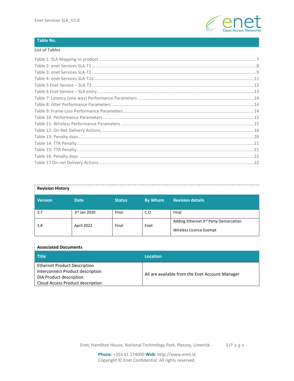

### **Table No.**

#### **List of Tables**

| <b>Revision History</b> |              |               |                |                                                                  |
|-------------------------|--------------|---------------|----------------|------------------------------------------------------------------|
| <b>Version</b>          | <b>Date</b>  | <b>Status</b> | <b>By Whom</b> | <b>Revision details</b>                                          |
| 3.7                     | 3rd Jan 2020 | Final         | C.O            | Final                                                            |
| 3.8                     | April 2022   | Final         | Enet           | Adding Ethernet 3rd Party Demarcation<br>Wireless Licence Exempt |

# **Associated Documents**

| Title                               | Location                                        |  |
|-------------------------------------|-------------------------------------------------|--|
| <b>Ethernet Product Description</b> |                                                 |  |
| Interconnect Product description    | All are available from the Enet Account Manager |  |
| DIA Product description             |                                                 |  |
| Cloud Access Product description    |                                                 |  |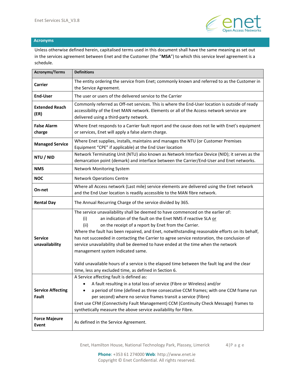

### **Acronyms**

Unless otherwise defined herein, capitalised terms used in this document shall have the same meaning as set out in the services agreement between Enet and the Customer (the "**MSA**") to which this service level agreement is a schedule.

| <b>Acronyms/Terms</b>             | <b>Definitions</b>                                                                                                                                                                                                                                                                                                                                                                                                                                                                                                                                 |
|-----------------------------------|----------------------------------------------------------------------------------------------------------------------------------------------------------------------------------------------------------------------------------------------------------------------------------------------------------------------------------------------------------------------------------------------------------------------------------------------------------------------------------------------------------------------------------------------------|
| <b>Carrier</b>                    | The entity ordering the service from Enet; commonly known and referred to as the Customer in<br>the Service Agreement.                                                                                                                                                                                                                                                                                                                                                                                                                             |
| <b>End-User</b>                   | The user or users of the delivered service to the Carrier                                                                                                                                                                                                                                                                                                                                                                                                                                                                                          |
| <b>Extended Reach</b><br>(ER)     | Commonly referred as Off-net services. This is where the End-User location is outside of ready<br>accessibility of the Enet MAN network. Elements or all of the Access network service are<br>delivered using a third-party network.                                                                                                                                                                                                                                                                                                               |
| <b>False Alarm</b><br>charge      | Where Enet responds to a Carrier fault report and the cause does not lie with Enet's equipment<br>or services, Enet will apply a false alarm charge.                                                                                                                                                                                                                                                                                                                                                                                               |
| <b>Managed Service</b>            | Where Enet supplies, installs, maintains and manages the NTU (or Customer Premises<br>Equipment "CPE" if applicable) at the End User location                                                                                                                                                                                                                                                                                                                                                                                                      |
| NTU / NID                         | Network Terminating Unit (NTU) also known as Network Interface Device (NID); it serves as the<br>demarcation point (demark) and interface between the Carrier/End-User and Enet networks.                                                                                                                                                                                                                                                                                                                                                          |
| <b>NMS</b>                        | Network Monitoring System                                                                                                                                                                                                                                                                                                                                                                                                                                                                                                                          |
| <b>NOC</b>                        | <b>Network Operations Centre</b>                                                                                                                                                                                                                                                                                                                                                                                                                                                                                                                   |
| On-net                            | Where all Access network (Last mile) service elements are delivered using the Enet network<br>and the End User location is readily accessible to the MAN fibre network.                                                                                                                                                                                                                                                                                                                                                                            |
| <b>Rental Day</b>                 | The Annual Recurring Charge of the service divided by 365.                                                                                                                                                                                                                                                                                                                                                                                                                                                                                         |
| <b>Service</b><br>unavailability  | The service unavailability shall be deemed to have commenced on the earlier of:<br>(i)<br>an indication of the fault on the Enet NMS if reactive SLA or<br>on the receipt of a report by Enet from the Carrier.<br>(ii)<br>Where the fault has been repaired, and Enet, notwithstanding reasonable efforts on its behalf,<br>has not succeeded in contacting the Carrier to agree service restoration, the conclusion of<br>service unavailability shall be deemed to have ended at the time when the network<br>management system indicated same. |
|                                   | Valid unavailable hours of a service is the elapsed time between the fault log and the clear<br>time, less any excluded time, as defined in Section 6.                                                                                                                                                                                                                                                                                                                                                                                             |
| <b>Service Affecting</b><br>Fault | A Service affecting fault is defined as:<br>• A fault resulting in a total loss of service (Fibre or Wireless) and/or<br>a period of time (defined as three consecutive CCM frames; with one CCM frame run<br>per second) where no service frames transit a service (Fibre)<br>Enet use CFM (Connectivity Fault Management) CCM (Continuity Check Message) frames to<br>synthetically measure the above service availability for Fibre.                                                                                                            |
| <b>Force Majeure</b><br>Event     | As defined in the Service Agreement.                                                                                                                                                                                                                                                                                                                                                                                                                                                                                                               |

Enet, Hamilton House, National Technology Park, Plassey, Limerick 4|P a g e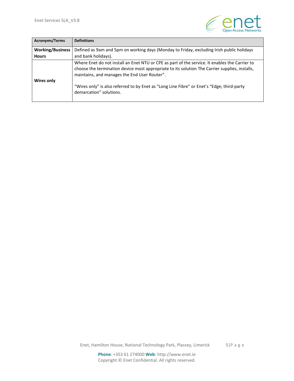

| Acronyms/Terms          | <b>Definitions</b>                                                                                                                                                                                                                               |
|-------------------------|--------------------------------------------------------------------------------------------------------------------------------------------------------------------------------------------------------------------------------------------------|
| <b>Working/Business</b> | Defined as 9am and 5pm on working days (Monday to Friday, excluding Irish public holidays                                                                                                                                                        |
| <b>Hours</b>            | and bank holidays).                                                                                                                                                                                                                              |
| Wires only              | Where Enet do not install an Enet NTU or CPE as part of the service. It enables the Carrier to<br>choose the termination device most appropriate to its solution The Carrier supplies, installs,<br>maintains, and manages the End User Router". |
|                         | "Wires only" is also referred to by Enet as "Long Line Fibre" or Enet's "Edge; third-party<br>demarcation" solutions.                                                                                                                            |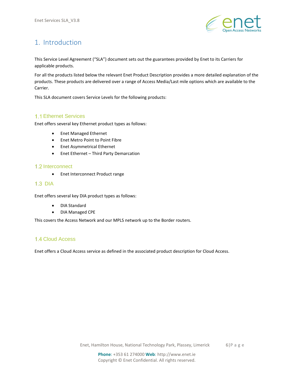

# <span id="page-5-0"></span>1. Introduction

This Service Level Agreement ("SLA") document sets out the guarantees provided by Enet to its Carriers for applicable products.

For all the products listed below the relevant Enet Product Description provides a more detailed explanation of the products. These products are delivered over a range of Access Media/Last mile options which are available to the Carrier.

This SLA document covers Service Levels for the following products:

# <span id="page-5-1"></span>1.1 Ethernet Services

Enet offers several key Ethernet product types as follows:

- Enet Managed Ethernet
- Enet Metro Point to Point Fibre
- Enet Asymmetrical Ethernet
- Enet Ethernet Third Party Demarcation

### <span id="page-5-2"></span>1.2 Interconnect

• Enet Interconnect Product range

# <span id="page-5-3"></span> $1.3$  DIA

Enet offers several key DIA product types as follows:

- DIA Standard
- DIA Managed CPE

This covers the Access Network and our MPLS network up to the Border routers.

# <span id="page-5-4"></span>1.4 Cloud Access

Enet offers a Cloud Access service as defined in the associated product description for Cloud Access.

Enet, Hamilton House, National Technology Park, Plassey, Limerick 6|P a g e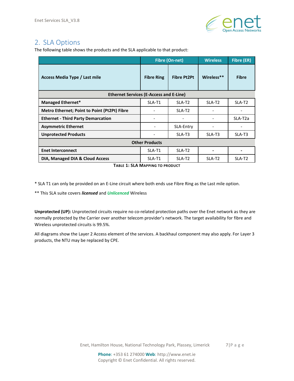

# <span id="page-6-0"></span>2. SLA Options

The following table shows the products and the SLA applicable to that product:

|                                                |                          | <b>Fibre (On-net)</b> | <b>Wireless</b>    | Fibre (ER)           |
|------------------------------------------------|--------------------------|-----------------------|--------------------|----------------------|
| Access Media Type / Last mile                  | <b>Fibre Ring</b>        | <b>Fibre Pt2Pt</b>    | Wireless**         | <b>Fibre</b>         |
| <b>Ethernet Services (E-Access and E-Line)</b> |                          |                       |                    |                      |
| <b>Managed Ethernet*</b>                       | SLA-T1                   | SLA-T <sub>2</sub>    | SLA-T <sub>2</sub> | SLA-T <sub>2</sub>   |
| Metro Ethernet; Point to Point (Pt2Pt) Fibre   |                          | SLA-T <sub>2</sub>    |                    |                      |
| <b>Ethernet - Third Party Demarcation</b>      |                          |                       |                    | SLA-T <sub>2</sub> a |
| <b>Asymmetric Ethernet</b>                     | $\overline{\phantom{a}}$ | SLA-Entry             |                    |                      |
| <b>Unprotected Products</b>                    |                          | SLA-T3                | SLA-T3             | SLA-T3               |
| <b>Other Products</b>                          |                          |                       |                    |                      |
| <b>Enet Interconnect</b>                       | SLA-T1                   | SLA-T <sub>2</sub>    |                    |                      |
| DIA, Managed DIA & Cloud Access                | SLA-T1                   | SLA-T <sub>2</sub>    | SLA-T <sub>2</sub> | SLA-T <sub>2</sub>   |

**TABLE 1: SLA MAPPING TO PRODUCT**

<span id="page-6-1"></span>\* SLA T1 can only be provided on an E-Line circuit where both ends use Fibre Ring as the Last mile option.

\*\* This SLA suite covers *licensed* and *Unlicenced* Wireless

**Unprotected (UP):** Unprotected circuits require no co-related protection paths over the Enet network as they are normally protected by the Carrier over another telecom provider's network. The target availability for fibre and Wireless unprotected circuits is 99.5%.

All diagrams show the Layer 2 Access element of the services. A backhaul component may also apply. For Layer 3 products, the NTU may be replaced by CPE.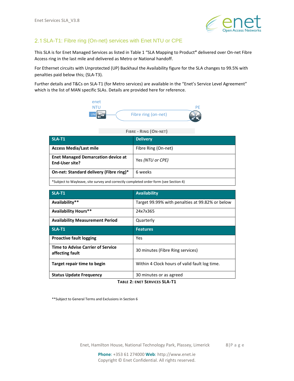

# <span id="page-7-0"></span>2.1 SLA-T1: Fibre ring (On-net) services with Enet NTU or CPE

This SLA is for Enet Managed Services as listed in Table 1 "SLA Mapping to Product**"** delivered over On-net Fibre Access ring in the last mile and delivered as Metro or National handoff.

For Ethernet circuits with Unprotected (UP) Backhaul the Availability figure for the SLA changes to 99.5% with penalties paid below this; (SLA-T3).

Further details and T&Cs on SLA-T1 (for Metro services) are available in the "Enet's Service Level Agreement" which is the list of MAN specific SLAs. Details are provided here for reference.



| <b>SLA-T1</b>                                                                        | <b>Delivery</b>     |  |
|--------------------------------------------------------------------------------------|---------------------|--|
| <b>Access Media/Last mile</b>                                                        | Fibre Ring (On-net) |  |
| <b>Enet Managed Demarcation device at</b><br>End-User site?                          | Yes (NTU or CPE)    |  |
| On-net: Standard delivery (Fibre ring)*                                              | 6 weeks             |  |
| *Subject to Wayleave, site survey and correctly completed order form (see Section 4) |                     |  |

| $SLA-T1$                                                    | <b>Availability</b>                             |
|-------------------------------------------------------------|-------------------------------------------------|
| Availability**                                              | Target 99.99% with penalties at 99.82% or below |
| <b>Availability Hours**</b>                                 | 24x7x365                                        |
| <b>Availability Measurement Period</b>                      | Quarterly                                       |
| SLA-T1                                                      | <b>Features</b>                                 |
| <b>Proactive fault logging</b>                              |                                                 |
|                                                             | Yes                                             |
| <b>Time to Advise Carrier of Service</b><br>affecting fault | 30 minutes (Fibre Ring services)                |
| Target repair time to begin                                 | Within 4 Clock hours of valid fault log time.   |

**TABLE 2: ENET SERVICES SLA-T1**

<span id="page-7-1"></span>\*\*Subject to General Terms and Exclusions in Section 6

Enet, Hamilton House, National Technology Park, Plassey, Limerick 8|P a g e

**Phone**: +353 61 274000 **Web**: http://www.enet.ie Copyright © Enet Confidential. All rights reserved.

#### **FIBRE - RING (ON-NET)**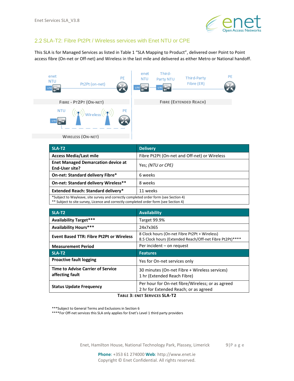

# <span id="page-8-0"></span>2.2 SLA-T2: Fibre Pt2Pt / Wireless services with Enet NTU or CPE

This SLA is for Managed Services as listed in Table 1 "SLA Mapping to Product", delivered over Point to Point access fibre (On-net or Off-net) and Wireless in the last mile and delivered as either Metro or National handoff.

| enet<br>PE<br><b>NTU</b><br>Pt2Pt (on-net)<br><b>UN</b> | Third-<br>enet<br>PE<br>Third-Party<br><b>NTU</b><br>Party NTU<br>Fibre (ER)<br><b>UNI</b> |
|---------------------------------------------------------|--------------------------------------------------------------------------------------------|
| FIBRE - PT2PT (ON-NET)                                  | <b>FIBRE (EXTENDED REACH)</b>                                                              |
| PE<br><b>NTU</b><br>Wireless<br><b>UN</b>               |                                                                                            |
| <b>WIRELESS (ON-NET)</b>                                |                                                                                            |

| SLA-T <sub>2</sub>                                                                   | <b>Delivery</b>                              |  |
|--------------------------------------------------------------------------------------|----------------------------------------------|--|
| <b>Access Media/Last mile</b>                                                        | Fibre Pt2Pt (On-net and Off-net) or Wireless |  |
| <b>Enet Managed Demarcation device at</b><br>End-User site?                          | Yes; (NTU or CPE)                            |  |
| <b>On-net: Standard delivery Fibre*</b>                                              | 6 weeks                                      |  |
| On-net: Standard delivery Wireless**                                                 | 8 weeks                                      |  |
| <b>Extended Reach: Standard delivery*</b>                                            | 11 weeks                                     |  |
| *Subject to Wayleave, site survey and correctly completed order form (see Section 4) |                                              |  |

\*\* Subject to site survey, Licence and correctly completed order form (see Section 4)

| SLA-T2                                                      | <b>Availability</b>                                                                                            |  |
|-------------------------------------------------------------|----------------------------------------------------------------------------------------------------------------|--|
| <b>Availability Target***</b>                               | Target 99.9%                                                                                                   |  |
| <b>Availability Hours***</b>                                | 24x7x365                                                                                                       |  |
| <b>Event Based TTR: Fibre Pt2Pt or Wireless</b>             | 8 Clock hours (On-net Fibre Pt2Pt + Wireless)<br>8.5 Clock hours (Extended Reach/Off-net Fibre Pt2Pt)****      |  |
| <b>Measurement Period</b>                                   | Per incident – on request                                                                                      |  |
| SLA-T <sub>2</sub>                                          | <b>Features</b>                                                                                                |  |
| <b>Proactive fault logging</b>                              | Yes for On-net services only                                                                                   |  |
| <b>Time to Advise Carrier of Service</b><br>affecting fault | 30 minutes (On-net Fibre + Wireless services)<br>1 hr (Extended Reach Fibre)                                   |  |
| <b>Status Update Frequency</b>                              | Per hour for On-net fibre/Wireless; or as agreed<br>2 hr for Extended Reach; or as agreed<br>T 3.  C--- CLA T3 |  |

**TABLE 3: ENET SERVICES SLA-T2**

<span id="page-8-1"></span>\*\*\*Subject to General Terms and Exclusions in Section 6

\*\*\*\*For Off-net services this SLA only applies for Enet's Level 1 third party providers

Enet, Hamilton House, National Technology Park, Plassey, Limerick 9|P a g e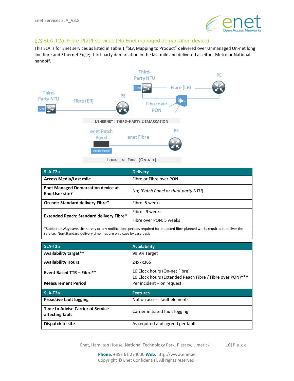

# <span id="page-9-0"></span>2.3 SLA-T2a: Fibre Pt2Pt services (No Enet managed demarcation device)

This SLA is for Enet services as listed in Table 1 "SLA Mapping to Product" delivered over Unmanaged On-net long line fibre and Ethernet Edge; third-party demarcation in the last mile and delivered as either Metro or National handoff.



| SLA-T <sub>2a</sub>                                         | <b>Delivery</b>                      |
|-------------------------------------------------------------|--------------------------------------|
| <b>Access Media/Last mile</b>                               | Fibre or Fibre over PON              |
| <b>Enet Managed Demarcation device at</b><br>End-User site? | No: (Patch Panel or third-party NTU) |
| <b>On-net: Standard delivery Fibre*</b>                     | Fibre: 5 weeks                       |
| <b>Extended Reach: Standard delivery Fibre*</b>             | Fibre : 9 weeks                      |
|                                                             | Fibre over PON: 5 weeks              |

 $\,$ iject to Wayleave, site survey or any notifications periods required for impacted fibre p service. Non-Standard delivery timelines are on a case by case basis

| SLA-T <sub>2a</sub>                                         | <b>Availability</b>                                       |  |  |  |
|-------------------------------------------------------------|-----------------------------------------------------------|--|--|--|
| Availability target**                                       | 99.9% Target                                              |  |  |  |
| <b>Availability Hours</b>                                   | 24x7x365                                                  |  |  |  |
| <b>Event Based TTR - Fibre**</b>                            | 10 Clock hours (On-net Fibre)                             |  |  |  |
|                                                             | 10 Clock hours (Extended Reach Fibre / Fibre over PON)*** |  |  |  |
| <b>Measurement Period</b>                                   | Per incident - on request                                 |  |  |  |
| SLA-T <sub>2a</sub>                                         | <b>Features</b>                                           |  |  |  |
| <b>Proactive fault logging</b>                              | Not on access fault elements                              |  |  |  |
| <b>Time to Advise Carrier of Service</b><br>affecting fault | Carrier initiated fault logging                           |  |  |  |
|                                                             |                                                           |  |  |  |

Enet, Hamilton House, National Technology Park, Plassey, Limerick 10|P a g e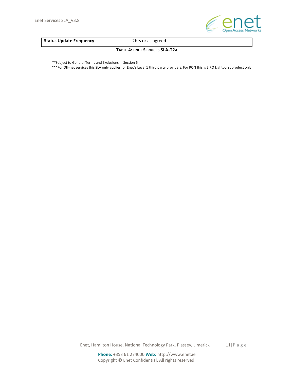

<span id="page-10-0"></span>

| <b>Status Update Frequency</b> | 2hrs or as agreed |
|--------------------------------|-------------------|
|                                |                   |

#### **TABLE 4: ENET SERVICES SLA-T2A**

*\*\**Subject to General Terms and Exclusions in Section 6

\*\*\*For Off-net services this SLA only applies for Enet's Level 1 third party providers. For PON this is SIRO Lightburst product only.

Enet, Hamilton House, National Technology Park, Plassey, Limerick 11|P a g e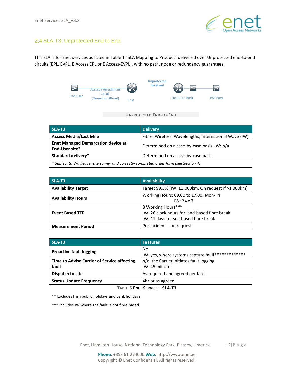

# <span id="page-11-0"></span>2.4 SLA-T3: Unprotected End to End

This SLA is for Enet services as listed in Table 1 "SLA Mapping to Product" delivered over Unprotected end-to-end circuits (EPL, EVPL, E Access EPL or E Access-EVPL), with no path, node or redundancy guarantees.



**UNPROTECTED END-TO-END**

| SLA-T3                                                                                | <b>Delivery</b>                                       |  |  |  |
|---------------------------------------------------------------------------------------|-------------------------------------------------------|--|--|--|
| <b>Access Media/Last Mile</b>                                                         | Fibre, Wireless, Wavelengths, International Wave (IW) |  |  |  |
| <b>Enet Managed Demarcation device at</b><br>End-User site?                           | Determined on a case-by-case basis. IW: n/a           |  |  |  |
| Standard delivery*                                                                    | Determined on a case-by-case basis                    |  |  |  |
| * Subject to Wayleave, site survey and correctly completed order form (see Section 4) |                                                       |  |  |  |

| SLA-T3                     | <b>Availability</b>                                 |  |  |  |
|----------------------------|-----------------------------------------------------|--|--|--|
| <b>Availability Target</b> | Target 99.5% (IW: ≤1,000km. On request if >1,000km) |  |  |  |
| <b>Availability Hours</b>  | Working Hours: 09.00 to 17.00, Mon-Fri              |  |  |  |
|                            | $IW: 24 \times 7$                                   |  |  |  |
|                            | 8 Working Hours***                                  |  |  |  |
| <b>Event Based TTR</b>     | IW: 26 clock hours for land-based fibre break       |  |  |  |
|                            | IW: 11 days for sea-based fibre break               |  |  |  |
| <b>Measurement Period</b>  | Per incident - on request                           |  |  |  |

| SLA-T3                                      | <b>Features</b>                                   |  |
|---------------------------------------------|---------------------------------------------------|--|
|                                             | No                                                |  |
| <b>Proactive fault logging</b>              | IW: yes, where systems capture fault************* |  |
| Time to Advise Carrier of Service affecting | n/a, the Carrier initiates fault logging          |  |
| fault                                       | IW: 45 minutes                                    |  |
| Dispatch to site                            | As required and agreed per fault                  |  |
| <b>Status Update Frequency</b>              | 4hr or as agreed                                  |  |

**TABLE 5 ENET SERVICE – SLA-T3**

<span id="page-11-1"></span>\*\* Excludes Irish public holidays and bank holidays

\*\*\* Includes IW where the fault is not fibre based.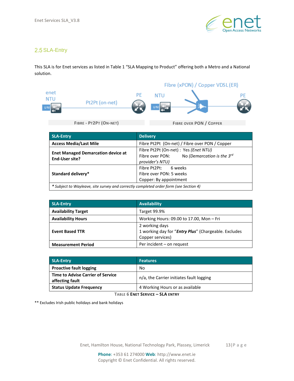

# <span id="page-12-0"></span>2.5 SLA-Entry

This SLA is for Enet services as listed in Table 1 "SLA Mapping to Product" offering both a Metro and a National solution.

Fibre (xPON) / Copper VDSL(ER) enet PE **NTU** PE **NTU** Pt2Pt (on-net) **UN UN FIBRE - PT2PT (ON-NET) FIBRE OVER PON / COPPER** 

| SLA-Entry                                                                             | <b>Delivery</b>                                                                                                |  |  |
|---------------------------------------------------------------------------------------|----------------------------------------------------------------------------------------------------------------|--|--|
| <b>Access Media/Last Mile</b>                                                         | Fibre Pt2Pt (On-net) / Fibre over PON / Copper                                                                 |  |  |
| <b>Enet Managed Demarcation device at</b><br><b>End-User site?</b>                    | Fibre Pt2Pt (On-net) : Yes (Enet NTU)<br>No (Demarcation is the $3^{rd}$<br>Fibre over PON:<br>provider's NTU) |  |  |
| <b>Standard delivery*</b>                                                             | Fibre Pt2Pt:<br>6 weeks<br>Fibre over PON: 5 weeks<br>Copper: By appointment                                   |  |  |
| * Subject to Wayleave, site survey and correctly completed order form (see Section 4) |                                                                                                                |  |  |

| <b>SLA-Entry</b>           | <b>Availability</b>                                                                        |  |  |  |
|----------------------------|--------------------------------------------------------------------------------------------|--|--|--|
| <b>Availability Target</b> | Target 99.9%                                                                               |  |  |  |
| <b>Availability Hours</b>  | Working Hours: 09.00 to 17.00, Mon - Fri                                                   |  |  |  |
| <b>Event Based TTR</b>     | 2 working days<br>1 working day for "Entry Plus" (Chargeable. Excludes<br>Copper services) |  |  |  |
| <b>Measurement Period</b>  | Per incident - on request                                                                  |  |  |  |

| <b>SLA-Entry</b>                                            | <b>Features</b>                          |
|-------------------------------------------------------------|------------------------------------------|
| <b>Proactive fault logging</b>                              | No                                       |
| <b>Time to Advise Carrier of Service</b><br>affecting fault | n/a, the Carrier initiates fault logging |
| <b>Status Update Frequency</b>                              | 4 Working Hours or as available          |

**TABLE 6 ENET SERVICE – SLA ENTRY**

<span id="page-12-1"></span>\*\* Excludes Irish public holidays and bank holidays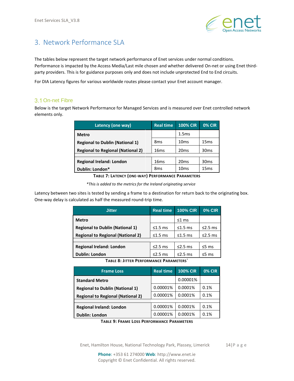

# <span id="page-13-0"></span>3. Network Performance SLA

The tables below represent the target network performance of Enet services under normal conditions. Performance is impacted by the Access Media/Last mile chosen and whether delivered On-net or using Enet thirdparty providers. This is for guidance purposes only and does not include unprotected End to End circuits.

For DIA Latency figures for various worldwide routes please contact your Enet account manager.

### <span id="page-13-1"></span>3.1 On-net Fibre

Below is the target Network Performance for Managed Services and is measured over Enet controlled network elements only.

| Latency (one way)                        | <b>Real time</b> | <b>100% CIR</b>  | <b>0% CIR</b>    |
|------------------------------------------|------------------|------------------|------------------|
| <b>Metro</b>                             |                  | 1.5ms            |                  |
| <b>Regional to Dublin (National 1)</b>   | 8 <sub>ms</sub>  | 10ms             | 15 <sub>ms</sub> |
| <b>Regional to Regional (National 2)</b> | 16 <sub>ms</sub> | 20 <sub>ms</sub> | 30 <sub>ms</sub> |
|                                          |                  |                  |                  |
| <b>Regional Ireland: London</b>          | 16 <sub>ms</sub> | 20 <sub>ms</sub> | 30 <sub>ms</sub> |
| Dublin: London*                          | 8 <sub>ms</sub>  | 10ms             | 15 <sub>ms</sub> |

**TABLE 7: LATENCY (ONE-WAY) PERFORMANCE PARAMETERS**

*\*This is added to the metrics for the Ireland originating service*

<span id="page-13-2"></span>Latency between two sites is tested by sending a frame to a destination for return back to the originating box. One-way delay is calculated as half the measured round-trip time.

| <b>Jitter</b>                            | <b>Real time</b> | <b>100% CIR</b> | <b>0% CIR</b> |
|------------------------------------------|------------------|-----------------|---------------|
| Metro                                    |                  | $\leq 1$ ms     |               |
| <b>Regional to Dublin (National 1)</b>   | $\leq 1.5$ ms    | $\leq 1.5$ ms   | $\leq$ 2.5 ms |
| <b>Regional to Regional (National 2)</b> | $\leq 1.5$ ms    | $\leq 1.5$ ms   | $\leq$ 2.5 ms |
|                                          |                  |                 |               |
| <b>Regional Ireland: London</b>          | $\leq$ 2.5 ms    | $\leq$ 2.5 ms   | $\leq$ 5 ms   |
| <b>Dublin: London</b>                    | $\leq$ 2.5 ms    | $\leq$ 2.5 ms   | $\leq$ 5 ms   |

**TABLE 8: JITTER PERFORMANCE PARAMETERS`**

<span id="page-13-3"></span>

| <b>Frame Loss</b>                        | <b>Real time</b> | <b>100% CIR</b> | <b>0% CIR</b> |
|------------------------------------------|------------------|-----------------|---------------|
| <b>Standard Metro</b>                    |                  | 0.00001%        |               |
| <b>Regional to Dublin (National 1)</b>   | 0.00001%         | 0.0001%         | 0.1%          |
| <b>Regional to Regional (National 2)</b> | 0.00001%         | 0.0001%         | 0.1%          |
|                                          |                  |                 |               |
| <b>Regional Ireland: London</b>          | 0.00001%         | 0.0001%         | 0.1%          |
| <b>Dublin: London</b>                    | 0.00001%         | 0.0001%         | 0.1%          |

**TABLE 9: FRAME LOSS PERFORMANCE PARAMETERS**

<span id="page-13-4"></span>Enet, Hamilton House, National Technology Park, Plassey, Limerick 14|P a g e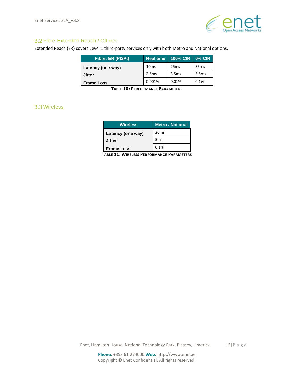

# <span id="page-14-0"></span>3.2 Fibre-Extended Reach / Off-net

Extended Reach (ER) covers Level 1 third-party services only with both Metro and National options.

| Fibre: ER (Pt2Pt) | <b>Real time</b> | <b>100% CIR</b>   | <b>0% CIR</b>     |
|-------------------|------------------|-------------------|-------------------|
| Latency (one way) | 10 <sub>ms</sub> | 25ms              | 35ms              |
| <b>Jitter</b>     | 2.5ms            | 3.5 <sub>ms</sub> | 3.5 <sub>ms</sub> |
| <b>Frame Loss</b> | 0.001%           | 0.01%             | 0.1%              |

**TABLE 10: PERFORMANCE PARAMETERS**

# <span id="page-14-3"></span><span id="page-14-2"></span><span id="page-14-1"></span>Wireless

| <b>Wireless</b>   | <b>Metro / National</b> |
|-------------------|-------------------------|
| Latency (one way) | 20 <sub>ms</sub>        |
| Jitter            | 5 <sub>ms</sub>         |
| <b>Frame Loss</b> | 0.1%                    |

**TABLE 11: WIRELESS PERFORMANCE PARAMETERS**

Enet, Hamilton House, National Technology Park, Plassey, Limerick 15|P a g e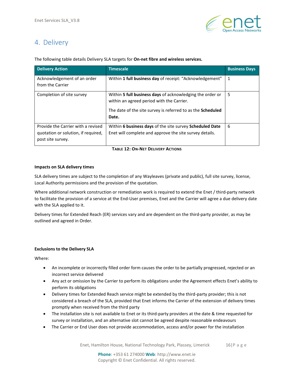

# <span id="page-15-0"></span>4. Delivery

The following table details Delivery SLA targets for **On-net fibre and wireless services.**

| <b>Delivery Action</b>                                                                         | <b>Timescale</b>                                                                                                                                                               | <b>Business Days</b> |
|------------------------------------------------------------------------------------------------|--------------------------------------------------------------------------------------------------------------------------------------------------------------------------------|----------------------|
| Acknowledgement of an order<br>from the Carrier                                                | Within 1 full business day of receipt: "Acknowledgement"                                                                                                                       | 1                    |
| Completion of site survey                                                                      | Within 5 full business days of acknowledging the order or<br>within an agreed period with the Carrier.<br>The date of the site survey is referred to as the Scheduled<br>Date. | 5                    |
| Provide the Carrier with a revised<br>quotation or solution, if required,<br>post site survey. | Within 6 business days of the site survey Scheduled Date<br>Enet will complete and approve the site survey details.                                                            | 6                    |

### **TABLE 12: ON-NET DELIVERY ACTIONS**

#### <span id="page-15-1"></span>**Impacts on SLA delivery times**

SLA delivery times are subject to the completion of any Wayleaves (private and public), full site survey, license, Local Authority permissions and the provision of the quotation.

Where additional network construction or remediation work is required to extend the Enet / third-party network to facilitate the provision of a service at the End-User premises, Enet and the Carrier will agree a due delivery date with the SLA applied to it.

Delivery times for Extended Reach (ER) services vary and are dependent on the third-party provider, as may be outlined and agreed in Order.

### **Exclusions to the Delivery SLA**

Where:

- An incomplete or incorrectly filled order form causes the order to be partially progressed, rejected or an incorrect service delivered
- Any act or omission by the Carrier to perform its obligations under the Agreement effects Enet's ability to perform its obligations
- Delivery times for Extended Reach service might be extended by the third-party provider; this is not considered a breach of the SLA, provided that Enet informs the Carrier of the extension of delivery times promptly when received from the third party
- The installation site is not available to Enet or its third-party providers at the date & time requested for survey or installation, and an alternative slot cannot be agreed despite reasonable endeavours
- The Carrier or End User does not provide accommodation, access and/or power for the installation

Enet, Hamilton House, National Technology Park, Plassey, Limerick 16|P a g e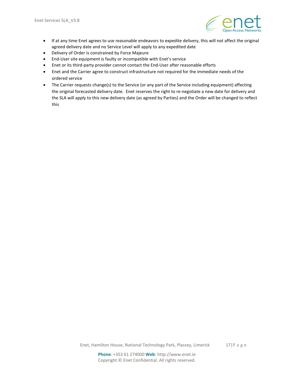

- If at any time Enet agrees to use reasonable endeavors to expedite delivery, this will not affect the original agreed delivery date and no Service Level will apply to any expedited date
- Delivery of Order is constrained by Force Majeure
- End-User site equipment is faulty or incompatible with Enet's service
- Enet or its third-party provider cannot contact the End-User after reasonable efforts
- Enet and the Carrier agree to construct infrastructure not required for the immediate needs of the ordered service
- The Carrier requests change(s) to the Service (or any part of the Service including equipment) affecting the original forecasted delivery date. Enet reserves the right to re-negotiate a new date for delivery and the SLA will apply to this new delivery date (as agreed by Parties) and the Order will be changed to reflect this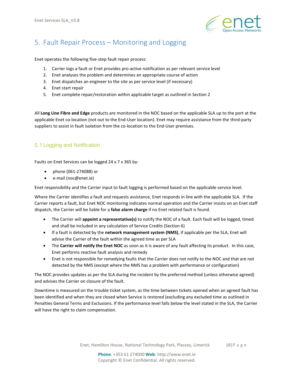

# <span id="page-17-0"></span>5. Fault Repair Process – Monitoring and Logging

Enet operates the following five-step fault repair process:

- 1. Carrier logs a fault or Enet provides pro-active notification as per relevant service level
- 2. Enet analyses the problem and determines an appropriate course of action
- 3. Enet dispatches an engineer to the site as per service level (if necessary)
- 4. Enet start repair
- 5. Enet complete repair/restoration within applicable target as outlined in Section 2

All **Long Line Fibre and Edge** products are monitored in the NOC based on the applicable SLA up to the port at the applicable Enet co-location (not out to the End-User location). Enet may require assistance from the third-party suppliers to assist in fault isolation from the co-location to the End-User premises.

# <span id="page-17-1"></span>5.1 Logging and Notification

Faults on Enet Services can be logged 24 x 7 x 365 by:

- phone (061-274088) or
- e-mail (noc@enet.ie)

Enet responsibility and the Carrier input to fault logging is performed based on the applicable service level.

Where the Carrier identifies a fault and requests assistance, Enet responds in line with the applicable SLA. If the Carrier reports a fault, but Enet NOC monitoring indicates normal operation and the Carrier insists on an Enet staff dispatch, the Carrier will be liable for a **false alarm charge** if no Enet related fault is found.

- The Carrier will **appoint a representative(s)** to notify the NOC of a fault. Each fault will be logged, timed and shall be included in any calculation of Service Credits (Section 6)
- If a fault is detected by the **network management system (NMS)**, if applicable per the SLA, Enet will advise the Carrier of the fault within the agreed time as per SLA
- The **Carrier will notify the Enet NOC** as soon as it is aware of any fault affecting its product. In this case, Enet performs reactive fault analysis and remedy
- Enet is not responsible for remedying faults that the Carrier does not notify to the NOC and that are not detected by the NMS (except where the NMS has a problem with performance or configuration)

The NOC provides updates as per the SLA during the incident by the preferred method (unless otherwise agreed) and advises the Carrier on closure of the fault.

Downtime is measured on the trouble ticket system, as the time between tickets opened when an agreed fault has been identified and when they are closed when Service is restored (excluding any excluded time as outlined in Penalties General Terms and Exclusions. If the performance level falls below the level stated in the SLA, the Carrier will have the right to claim compensation.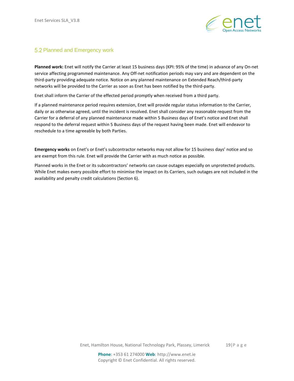

# <span id="page-18-0"></span>5.2 Planned and Emergency work

**Planned work:** Enet will notify the Carrier at least 15 business days (KPI: 95% of the time) in advance of any On-net service affecting programmed maintenance. Any Off-net notification periods may vary and are dependent on the third-party providing adequate notice. Notice on any planned maintenance on Extended Reach/third-party networks will be provided to the Carrier as soon as Enet has been notified by the third-party.

Enet shall inform the Carrier of the effected period promptly when received from a third party.

If a planned maintenance period requires extension, Enet will provide regular status information to the Carrier, daily or as otherwise agreed, until the incident is resolved. Enet shall consider any reasonable request from the Carrier for a deferral of any planned maintenance made within 5 Business days of Enet's notice and Enet shall respond to the deferral request within 5 Business days of the request having been made. Enet will endeavor to reschedule to a time agreeable by both Parties.

**Emergency works** on Enet's or Enet's subcontractor networks may not allow for 15 business days' notice and so are exempt from this rule. Enet will provide the Carrier with as much notice as possible.

Planned works in the Enet or its subcontractors' networks can cause outages especially on unprotected products. While Enet makes every possible effort to minimise the impact on its Carriers, such outages are not included in the availability and penalty credit calculations (Section 6).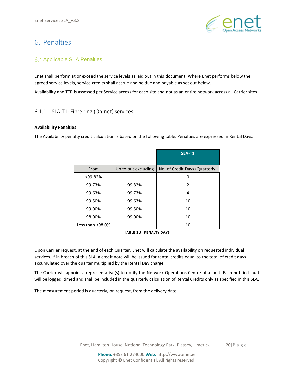

# <span id="page-19-0"></span>6. Penalties

# <span id="page-19-1"></span>**6.1 Applicable SLA Penalties**

Enet shall perform at or exceed the service levels as laid out in this document. Where Enet performs below the agreed service levels, service credits shall accrue and be due and payable as set out below.

Availability and TTR is assessed per Service access for each site and not as an entire network across all Carrier sites.

# 6.1.1 SLA-T1: Fibre ring (On-net) services

### **Availability Penalties**

The Availability penalty credit calculation is based on the following table. Penalties are expressed in Rental Days.

|                  |                     | <b>SLA-T1</b>                  |
|------------------|---------------------|--------------------------------|
| From             | Up to but excluding | No. of Credit Days (Quarterly) |
| >99.82%          |                     | O                              |
| 99.73%           | 99.82%              | $\overline{2}$                 |
| 99.63%           | 99.73%              | 4                              |
| 99.50%           | 99.63%              | 10                             |
| 99.00%           | 99.50%              | 10                             |
| 98.00%           | 99.00%              | 10                             |
| Less than <98.0% |                     | 10                             |

**TABLE 13: PENALTY DAYS**

<span id="page-19-2"></span>Upon Carrier request, at the end of each Quarter, Enet will calculate the availability on requested individual services. If in breach of this SLA, a credit note will be issued for rental credits equal to the total of credit days accumulated over the quarter multiplied by the Rental Day charge.

The Carrier will appoint a representative(s) to notify the Network Operations Centre of a fault. Each notified fault will be logged, timed and shall be included in the quarterly calculation of Rental Credits only as specified in this SLA.

The measurement period is quarterly, on request, from the delivery date.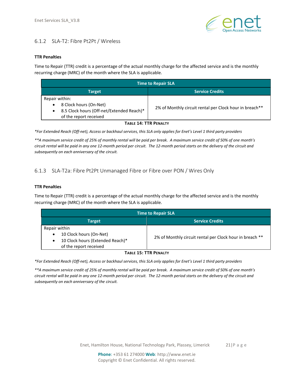

# 6.1.2 SLA-T2: Fibre Pt2Pt / Wireless

### **TTR Penalties**

Time to Repair (TTR) credit is a percentage of the actual monthly charge for the affected service and is the monthly recurring charge (MRC) of the month where the SLA is applicable.

| <b>Time to Repair SLA</b>                                                                                                         |                                                         |  |
|-----------------------------------------------------------------------------------------------------------------------------------|---------------------------------------------------------|--|
| <b>Target</b>                                                                                                                     | <b>Service Credits</b>                                  |  |
| Repair within:<br>8 Clock hours (On-Net)<br>$\bullet$<br>8.5 Clock hours (Off-net/Extended Reach)*<br>٠<br>of the report received | 2% of Monthly circuit rental per Clock hour in breach** |  |
| <b>TABLE 14: TTR PENALTY</b>                                                                                                      |                                                         |  |

<span id="page-20-0"></span>*\*For Extended Reach (Off-net), Access or backhaul services, this SLA only applies for Enet's Level 1 third party providers*

*\*\*A maximum service credit of 25% of monthly rental will be paid per break. A maximum service credit of 50% of one month's circuit rental will be paid in any one 12-month period per circuit. The 12-month period starts on the delivery of the circuit and subsequently on each anniversary of the circuit.*

# 6.1.3 SLA-T2a: Fibre Pt2Pt Unmanaged Fibre or Fibre over PON / Wires Only

### **TTR Penalties**

Time to Repair (TTR) credit is a percentage of the actual monthly charge for the affected service and is the monthly recurring charge (MRC) of the month where the SLA is applicable.

| <b>Time to Repair SLA</b>                                                                                                        |                                                          |  |
|----------------------------------------------------------------------------------------------------------------------------------|----------------------------------------------------------|--|
| <b>Target</b>                                                                                                                    | <b>Service Credits</b>                                   |  |
| Repair within<br>10 Clock hours (On-Net)<br>$\bullet$<br>10 Clock hours (Extended Reach)*<br>$\bullet$<br>of the report received | 2% of Monthly circuit rental per Clock hour in breach ** |  |
| TADIE 15. TTD DEMAITV                                                                                                            |                                                          |  |

#### **TABLE 15: TTR PENALTY**

<span id="page-20-1"></span>*\*For Extended Reach (Off-net), Access or backhaul services, this SLA only applies for Enet's Level 1 third party providers*

*\*\*A maximum service credit of 25% of monthly rental will be paid per break. A maximum service credit of 50% of one month's circuit rental will be paid in any one 12-month period per circuit. The 12-month period starts on the delivery of the circuit and subsequently on each anniversary of the circuit.*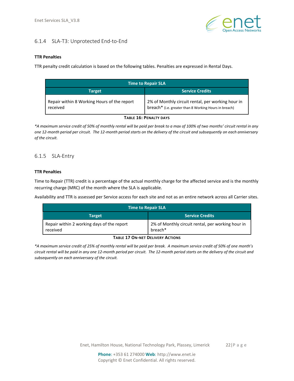

# 6.1.4 SLA-T3: Unprotected End-to-End

### **TTR Penalties**

TTR penalty credit calculation is based on the following tables. Penalties are expressed in Rental Days.

| <b>Time to Repair SLA</b>                               |                                                                                                            |  |
|---------------------------------------------------------|------------------------------------------------------------------------------------------------------------|--|
| Target                                                  | <b>Service Credits</b>                                                                                     |  |
| Repair within 8 Working Hours of the report<br>received | 2% of Monthly circuit rental, per working hour in<br>breach* (i.e. greater than 8 Working Hours in breach) |  |

#### **TABLE 16: PENALTY DAYS**

<span id="page-21-0"></span>*\*A maximum service credit of 50% of monthly rental will be paid per break to a max of 100% of two months' circuit rental in any one 12-month period per circuit. The 12-month period starts on the delivery of the circuit and subsequently on each anniversary of the circuit.*

# 6.1.5 SLA-Entry

### **TTR Penalties**

Time to Repair (TTR) credit is a percentage of the actual monthly charge for the affected service and is the monthly recurring charge (MRC) of the month where the SLA is applicable.

Availability and TTR is assessed per Service access for each site and not as an entire network across all Carrier sites.

| <b>Time to Repair SLA</b>                              |                                                                          |  |
|--------------------------------------------------------|--------------------------------------------------------------------------|--|
| <b>Target</b>                                          | Service Credits <b>\</b>                                                 |  |
| Repair within 2 working days of the report<br>received | 2% of Monthly circuit rental, per working hour in<br>breach <sup>*</sup> |  |

#### **TABLE 17 ON-NET DELIVERY ACTIONS**

<span id="page-21-1"></span>*\*A maximum service credit of 25% of monthly rental will be paid per break. A maximum service credit of 50% of one month's circuit rental will be paid in any one 12-month period per circuit. The 12-month period starts on the delivery of the circuit and subsequently on each anniversary of the circuit.*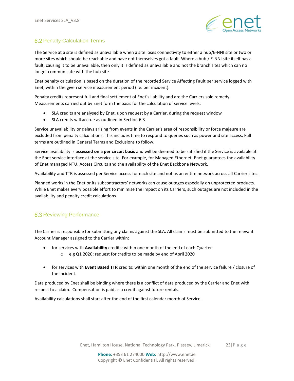

# <span id="page-22-0"></span>**6.2 Penalty Calculation Terms**

The Service at a site is defined as unavailable when a site loses connectivity to either a hub/E-NNI site or two or more sites which should be reachable and have not themselves got a fault. Where a hub / E-NNI site itself has a fault, causing it to be unavailable, then only it is defined as unavailable and not the branch sites which can no longer communicate with the hub site.

Enet penalty calculation is based on the duration of the recorded Service Affecting Fault per service logged with Enet, within the given service measurement period (i.e. per incident).

Penalty credits represent full and final settlement of Enet's liability and are the Carriers sole remedy. Measurements carried out by Enet form the basis for the calculation of service levels.

- SLA credits are analysed by Enet, upon request by a Carrier, during the request window
- SLA credits will accrue as outlined in Section 6.3

Service unavailability or delays arising from events in the Carrier's area of responsibility or force majeure are excluded from penalty calculations. This includes time to respond to queries such as power and site access. Full terms are outlined in General Terms and Exclusions to follow.

Service availability is **assessed on a per circuit basis** and will be deemed to be satisfied if the Service is available at the Enet service interface at the service site. For example, for Managed Ethernet, Enet guarantees the availability of Enet managed NTU, Access Circuits and the availability of the Enet Backbone Network.

Availability and TTR is assessed per Service access for each site and not as an entire network across all Carrier sites.

Planned works in the Enet or its subcontractors' networks can cause outages especially on unprotected products. While Enet makes every possible effort to minimise the impact on its Carriers, such outages are not included in the availability and penalty credit calculations.

# <span id="page-22-1"></span>**6.3 Reviewing Performance**

The Carrier is responsible for submitting any claims against the SLA. All claims must be submitted to the relevant Account Manager assigned to the Carrier within:

- for services with **Availability** credits; within one month of the end of each Quarter o e.g Q1 2020; request for credits to be made by end of April 2020
- for services with **Event Based TTR** credits: within one month of the end of the service failure / closure of the incident.

Data produced by Enet shall be binding where there is a conflict of data produced by the Carrier and Enet with respect to a claim. Compensation is paid as a credit against future rentals.

Availability calculations shall start after the end of the first calendar month of Service.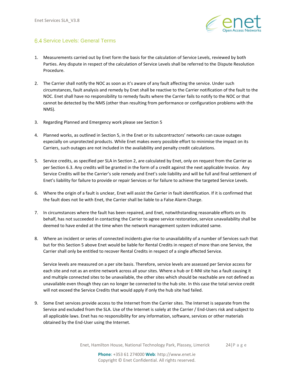

# <span id="page-23-0"></span>6.4 Service Levels: General Terms

- 1. Measurements carried out by Enet form the basis for the calculation of Service Levels, reviewed by both Parties. Any dispute in respect of the calculation of Service Levels shall be referred to the Dispute Resolution Procedure.
- 2. The Carrier shall notify the NOC as soon as it's aware of any fault affecting the service. Under such circumstances, fault analysis and remedy by Enet shall be reactive to the Carrier notification of the fault to the NOC. Enet shall have no responsibility to remedy faults where the Carrier fails to notify to the NOC or that cannot be detected by the NMS (other than resulting from performance or configuration problems with the NMS).
- 3. Regarding Planned and Emergency work please see Section 5
- 4. Planned works, as outlined in Section 5, in the Enet or its subcontractors' networks can cause outages especially on unprotected products. While Enet makes every possible effort to minimise the impact on its Carriers, such outages are not included in the availability and penalty credit calculations.
- 5. Service credits, as specified per SLA in Section 2, are calculated by Enet, only on request from the Carrier as per Section 6.3. Any credits will be granted in the form of a credit against the next applicable Invoice. Any Service Credits will be the Carrier's sole remedy and Enet's sole liability and will be full and final settlement of Enet's liability for failure to provide or repair Services or for failure to achieve the targeted Service Levels.
- 6. Where the origin of a fault is unclear, Enet will assist the Carrier in fault identification. If it is confirmed that the fault does not lie with Enet, the Carrier shall be liable to a False Alarm Charge.
- 7. In circumstances where the fault has been repaired, and Enet, notwithstanding reasonable efforts on its behalf, has not succeeded in contacting the Carrier to agree service restoration, service unavailability shall be deemed to have ended at the time when the network management system indicated same.
- 8. Where an incident or series of connected incidents give rise to unavailability of a number of Services such that but for this Section 5 above Enet would be liable for Rental Credits in respect of more than one Service, the Carrier shall only be entitled to recover Rental Credits in respect of a single affected Service.

Service levels are measured on a per site basis. Therefore, service levels are assessed per Service access for each site and not as an entire network across all your sites. Where a hub or E-NNI site has a fault causing it and multiple connected sites to be unavailable, the other sites which should be reachable are not defined as unavailable even though they can no longer be connected to the hub site. In this case the total service credit will not exceed the Service Credits that would apply if only the hub site had failed.

9. Some Enet services provide access to the Internet from the Carrier sites. The Internet is separate from the Service and excluded from the SLA. Use of the Internet is solely at the Carrier / End-Users risk and subject to all applicable laws. Enet has no responsibility for any information, software, services or other materials obtained by the End-User using the Internet.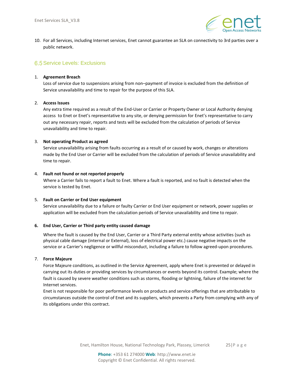

10. For all Services, including Internet services, Enet cannot guarantee an SLA on connectivity to 3rd parties over a public network.

# <span id="page-24-0"></span>**6.5 Service Levels: Exclusions**

#### 1. **Agreement Breach**

Loss of service due to suspensions arising from non–payment of invoice is excluded from the definition of Service unavailability and time to repair for the purpose of this SLA.

#### 2. **Access Issues**

Any extra time required as a result of the End-User or Carrier or Property Owner or Local Authority denying access to Enet or Enet's representative to any site, or denying permission for Enet's representative to carry out any necessary repair, reports and tests will be excluded from the calculation of periods of Service unavailability and time to repair.

### 3. **Not operating Product as agreed**

Service unavailability arising from faults occurring as a result of or caused by work, changes or alterations made by the End User or Carrier will be excluded from the calculation of periods of Service unavailability and time to repair.

#### 4. **Fault not found or not reported properly**

Where a Carrier fails to report a fault to Enet. Where a fault is reported, and no fault is detected when the service is tested by Enet.

#### 5. **Fault on Carrier or End User equipment**

Service unavailability due to a failure or faulty Carrier or End User equipment or network, power supplies or application will be excluded from the calculation periods of Service unavailability and time to repair.

### **6. End User, Carrier or Third party entity caused damage**

Where the fault is caused by the End User, Carrier or a Third Party external entity whose activities (such as physical cable damage (internal or External), loss of electrical power etc.) cause negative impacts on the service or a Carrier's negligence or willful misconduct, including a failure to follow agreed-upon procedures.

### 7. **Force Majeure**

Force Majeure conditions, as outlined in the Service Agreement, apply where Enet is prevented or delayed in carrying out its duties or providing services by circumstances or events beyond its control. Example; where the fault is caused by severe weather conditions such as storms, flooding or lightning, failure of the internet for Internet services.

Enet is not responsible for poor performance levels on products and service offerings that are attributable to circumstances outside the control of Enet and its suppliers, which prevents a Party from complying with any of its obligations under this contract.